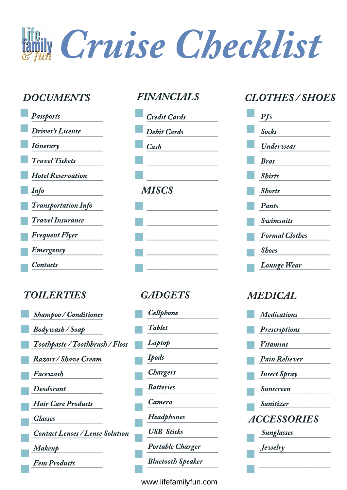fily Cruise Checklist

| Passports                  |
|----------------------------|
| <b>Driver's License</b>    |
| <b>Itinerary</b>           |
| <b>Travel Tickets</b>      |
| <b>Hotel Reservation</b>   |
| Info                       |
| <b>Transportation Info</b> |
| Travel Insurance           |
| <b>Frequent Flyer</b>      |
| <b>Emergency</b>           |
| Contacts                   |

# TOILERTIES GADGETS MEDICAL

| <b>Shampoo / Conditioner</b>           |
|----------------------------------------|
| <b>Bodywash / Soap</b>                 |
| Toothpaste / Toothbrush / Floss        |
| Razors / Shave Cream                   |
| Facewash                               |
| Deodorant                              |
| <b>Hair Care Products</b>              |
| <b>Glasses</b>                         |
| <b>Contact Lenses / Lense Solution</b> |
| Makeup                                 |
| <b>Fem Products</b>                    |
|                                        |



| Cellphone                      |
|--------------------------------|
| <b>Tablet</b>                  |
| Laptop                         |
| <b>Ipods</b>                   |
| <b>Chargers</b>                |
| <i><u><b>Ratteries</b></u></i> |
| Camera                         |
| Headphones                     |
| <b>USB Sticks</b>              |
| Portable Charger               |
| <b>Bluetooth Speaker</b>       |
|                                |

### www.lifefamilyfun.com

## DOCUMENTS FINANCIALS CLOTHES / SHOES



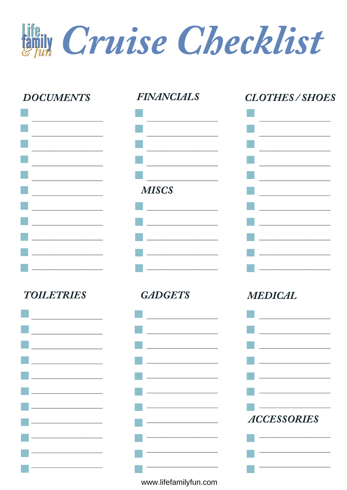Cruise Checklist



www.lifefamilyfun.com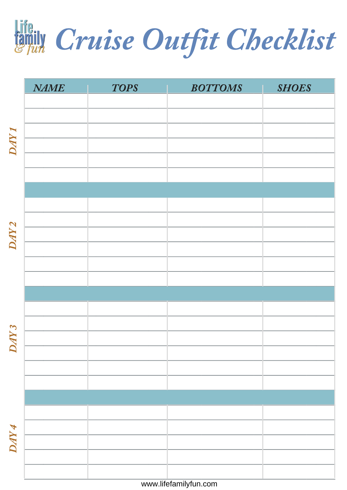life.<br>Enly Cruise Outfit Checklist

|                  | <b>NAME</b> | <b>TOPS</b> | <b>BOTTOMS</b>        | <b>SHOES</b> |
|------------------|-------------|-------------|-----------------------|--------------|
|                  |             |             |                       |              |
|                  |             |             |                       |              |
| DAY <sub>1</sub> |             |             |                       |              |
|                  |             |             |                       |              |
|                  |             |             |                       |              |
|                  |             |             |                       |              |
|                  |             |             |                       |              |
|                  |             |             |                       |              |
|                  |             |             |                       |              |
| DAY <sub>2</sub> |             |             |                       |              |
|                  |             |             |                       |              |
|                  |             |             |                       |              |
|                  |             |             |                       |              |
|                  |             |             |                       |              |
|                  |             |             |                       |              |
| $\overline{N}3$  |             |             |                       |              |
| $\mathsf{C}$     |             |             |                       |              |
|                  |             |             |                       |              |
|                  |             |             |                       |              |
|                  |             |             |                       |              |
|                  |             |             |                       |              |
| DAY 4            |             |             |                       |              |
|                  |             |             |                       |              |
|                  |             |             |                       |              |
|                  |             |             | www.lifefamilyfun.com |              |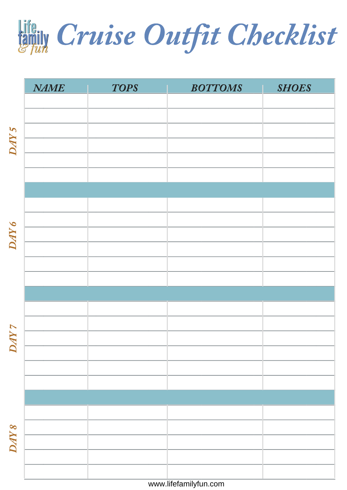lifteur Cruise Outfit Checklist

|                              | <b>NAME</b> | <b>TOPS</b> | <b>BOTTOMS</b>        | <b>SHOES</b> |
|------------------------------|-------------|-------------|-----------------------|--------------|
|                              |             |             |                       |              |
|                              |             |             |                       |              |
| DAY 5                        |             |             |                       |              |
|                              |             |             |                       |              |
|                              |             |             |                       |              |
|                              |             |             |                       |              |
|                              |             |             |                       |              |
|                              |             |             |                       |              |
| DAY 6                        |             |             |                       |              |
|                              |             |             |                       |              |
|                              |             |             |                       |              |
|                              |             |             |                       |              |
|                              |             |             |                       |              |
|                              |             |             |                       |              |
| $\Lambda\Lambda$<br>$\bm{M}$ |             |             |                       |              |
|                              |             |             |                       |              |
|                              |             |             |                       |              |
|                              |             |             |                       |              |
|                              |             |             |                       |              |
|                              |             |             |                       |              |
| DAY 8                        |             |             |                       |              |
|                              |             |             |                       |              |
|                              |             |             |                       |              |
|                              |             |             | www.lifefamilyfun.com |              |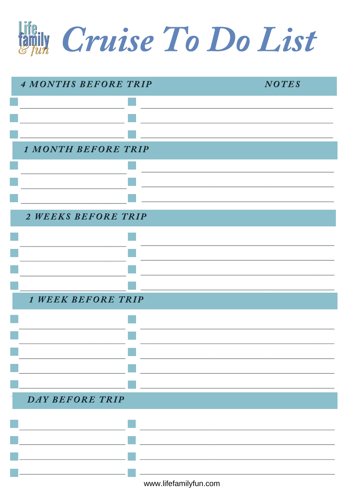Cruise To Do List

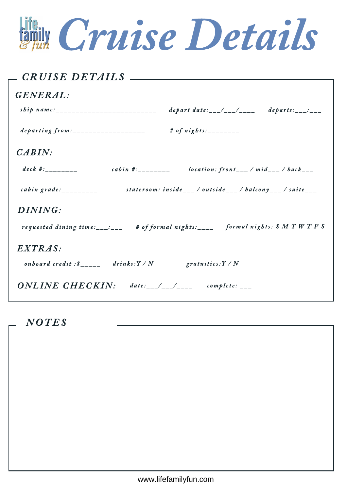Figure Cruise Details

| <i>_ CRUISE DETAILS _______________</i>        |                                                                                                                                                                                                                                                                                                                                                                                                             |
|------------------------------------------------|-------------------------------------------------------------------------------------------------------------------------------------------------------------------------------------------------------------------------------------------------------------------------------------------------------------------------------------------------------------------------------------------------------------|
| GENERAL:                                       |                                                                                                                                                                                                                                                                                                                                                                                                             |
|                                                | depart date: $\frac{1}{1-\frac{1}{1-\frac{1}{1-\frac{1}{1-\frac{1}{1-\frac{1}{1-\frac{1}{1-\frac{1}{1-\frac{1}{1-\frac{1}{1-\frac{1}{1-\frac{1}{1-\frac{1}{1-\frac{1}{1-\frac{1}{1-\frac{1}{1-\frac{1}{1-\frac{1}{1-\frac{1}{1-\frac{1}{1-\frac{1}{1-\frac{1}{1-\frac{1}{1-\frac{1}{1-\frac{1}{1-\frac{1}{1-\frac{1}{1-\frac{1}{1-\frac{1}{1-\frac{1}{1-\frac{1}{1-\frac{1}{1-\frac{1}{1-\frac{1}{1-\frac{$ |
|                                                | # of $nights:$ ________                                                                                                                                                                                                                                                                                                                                                                                     |
| CABIN:                                         |                                                                                                                                                                                                                                                                                                                                                                                                             |
| $deck$ #:_________                             | cabin #:________ location: front___/mid___/back___                                                                                                                                                                                                                                                                                                                                                          |
| cabin grade: $\frac{1}{2}$                     | stateroom: inside___/outside___/balcony___/suite___                                                                                                                                                                                                                                                                                                                                                         |
| DINING:                                        |                                                                                                                                                                                                                                                                                                                                                                                                             |
|                                                | requested dining time:___:___ # of formal nights:____ formal nights: S M T W T F S                                                                                                                                                                                                                                                                                                                          |
| EXTRAS:                                        |                                                                                                                                                                                                                                                                                                                                                                                                             |
| onboard credit: $\oint_{-----}$ drinks: Y / N  | gratuities: $Y / N$                                                                                                                                                                                                                                                                                                                                                                                         |
| $ONLINE$ CHECKIN: date:__/__/____ complete: __ |                                                                                                                                                                                                                                                                                                                                                                                                             |

**NOTES**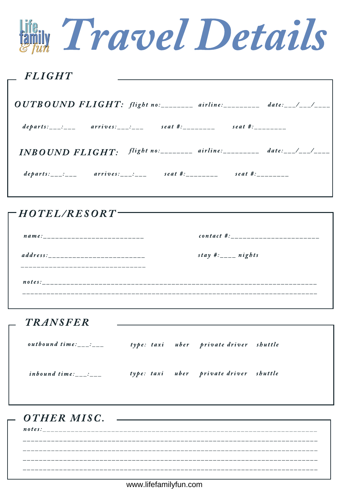|                        | <b>Fight Travel Details</b>                                                                                                               |                                                        |  |
|------------------------|-------------------------------------------------------------------------------------------------------------------------------------------|--------------------------------------------------------|--|
| $\_FLIGHT$             |                                                                                                                                           |                                                        |  |
|                        | $OUTBOUND$ $FLIGHT:$ $flight$ $no:$ $101$ $101$ $101$ $101$ $101$ $101$ $101$ $101$ $101$ $101$ $101$ $101$ $101$ $101$ $101$ $101$ $101$ |                                                        |  |
|                        | departs:___:___ arrives:___:___ seat #:_______ seat #:_______                                                                             |                                                        |  |
| <b>INBOUND FLIGHT:</b> |                                                                                                                                           | flight no: ________ airline: _________ date: __/__/___ |  |
|                        | departs:___:___ arrives:___:___ seat #:________ seat #:_______                                                                            |                                                        |  |

 $-HOTEL/RESORT$ contact #:\_\_\_\_\_\_\_\_\_\_\_\_\_\_\_\_\_\_\_\_\_\_\_ stay #: $\frac{1}{2}$  nights \_\_\_\_\_\_\_\_\_\_\_\_\_\_\_\_\_\_\_\_\_\_\_\_\_\_\_\_\_\_\_\_\_ 

| <i>_ TRANSFER</i>                                            |  |                                        |  |
|--------------------------------------------------------------|--|----------------------------------------|--|
| outbound time:___:___ type: taxi uber private driver shuttle |  |                                        |  |
|                                                              |  | type: taxi uber private driver shuttle |  |
| - OTHER MISC.                                                |  |                                        |  |
|                                                              |  |                                        |  |

www.lifefamilyfun.com

\_\_\_\_\_\_\_\_\_\_\_\_\_\_\_

\_\_\_\_\_\_\_\_\_\_\_\_\_\_\_\_\_\_\_\_\_\_\_\_\_\_\_\_\_\_